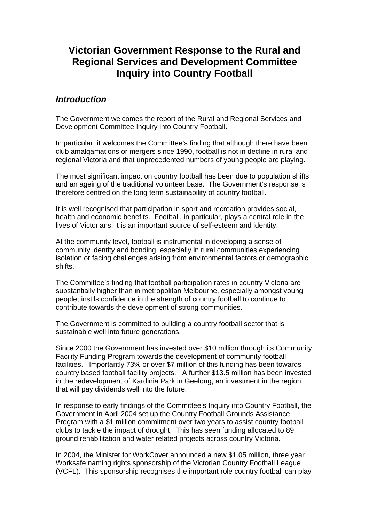# **Victorian Government Response to the Rural and Regional Services and Development Committee Inquiry into Country Football**

# *Introduction*

The Government welcomes the report of the Rural and Regional Services and Development Committee Inquiry into Country Football.

In particular, it welcomes the Committee's finding that although there have been club amalgamations or mergers since 1990, football is not in decline in rural and regional Victoria and that unprecedented numbers of young people are playing.

The most significant impact on country football has been due to population shifts and an ageing of the traditional volunteer base. The Government's response is therefore centred on the long term sustainability of country football.

It is well recognised that participation in sport and recreation provides social, health and economic benefits. Football, in particular, plays a central role in the lives of Victorians; it is an important source of self-esteem and identity.

At the community level, football is instrumental in developing a sense of community identity and bonding, especially in rural communities experiencing isolation or facing challenges arising from environmental factors or demographic shifts.

The Committee's finding that football participation rates in country Victoria are substantially higher than in metropolitan Melbourne, especially amongst young people, instils confidence in the strength of country football to continue to contribute towards the development of strong communities.

The Government is committed to building a country football sector that is sustainable well into future generations.

Since 2000 the Government has invested over \$10 million through its Community Facility Funding Program towards the development of community football facilities. Importantly 73% or over \$7 million of this funding has been towards country based football facility projects. A further \$13.5 million has been invested in the redevelopment of Kardinia Park in Geelong, an investment in the region that will pay dividends well into the future.

In response to early findings of the Committee's Inquiry into Country Football, the Government in April 2004 set up the Country Football Grounds Assistance Program with a \$1 million commitment over two years to assist country football clubs to tackle the impact of drought. This has seen funding allocated to 89 ground rehabilitation and water related projects across country Victoria.

In 2004, the Minister for WorkCover announced a new \$1.05 million, three year Worksafe naming rights sponsorship of the Victorian Country Football League (VCFL). This sponsorship recognises the important role country football can play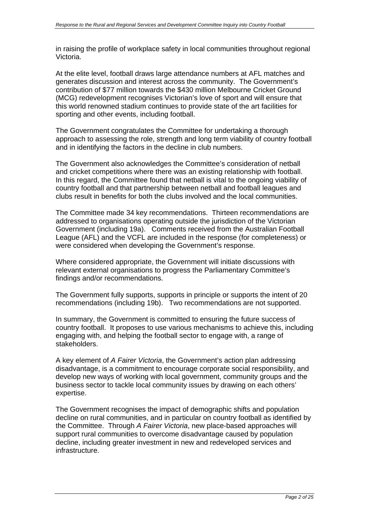in raising the profile of workplace safety in local communities throughout regional Victoria.

At the elite level, football draws large attendance numbers at AFL matches and generates discussion and interest across the community. The Government's contribution of \$77 million towards the \$430 million Melbourne Cricket Ground (MCG) redevelopment recognises Victorian's love of sport and will ensure that this world renowned stadium continues to provide state of the art facilities for sporting and other events, including football.

The Government congratulates the Committee for undertaking a thorough approach to assessing the role, strength and long term viability of country football and in identifying the factors in the decline in club numbers.

The Government also acknowledges the Committee's consideration of netball and cricket competitions where there was an existing relationship with football. In this regard, the Committee found that netball is vital to the ongoing viability of country football and that partnership between netball and football leagues and clubs result in benefits for both the clubs involved and the local communities.

The Committee made 34 key recommendations. Thirteen recommendations are addressed to organisations operating outside the jurisdiction of the Victorian Government (including 19a). Comments received from the Australian Football League (AFL) and the VCFL are included in the response (for completeness) or were considered when developing the Government's response.

Where considered appropriate, the Government will initiate discussions with relevant external organisations to progress the Parliamentary Committee's findings and/or recommendations.

The Government fully supports, supports in principle or supports the intent of 20 recommendations (including 19b). Two recommendations are not supported.

In summary, the Government is committed to ensuring the future success of country football. It proposes to use various mechanisms to achieve this, including engaging with, and helping the football sector to engage with, a range of stakeholders.

A key element of *A Fairer Victoria*, the Government's action plan addressing disadvantage, is a commitment to encourage corporate social responsibility, and develop new ways of working with local government, community groups and the business sector to tackle local community issues by drawing on each others' expertise.

The Government recognises the impact of demographic shifts and population decline on rural communities, and in particular on country football as identified by the Committee. Through *A Fairer Victoria*, new place-based approaches will support rural communities to overcome disadvantage caused by population decline, including greater investment in new and redeveloped services and infrastructure.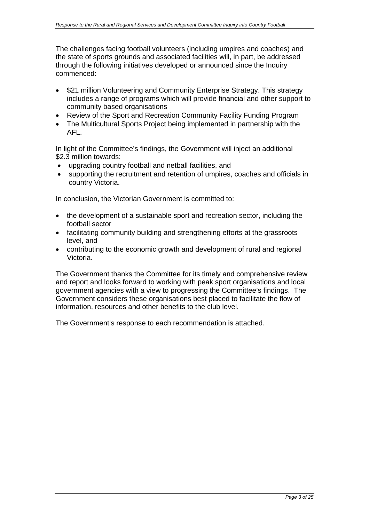The challenges facing football volunteers (including umpires and coaches) and the state of sports grounds and associated facilities will, in part, be addressed through the following initiatives developed or announced since the Inquiry commenced:

- \$21 million Volunteering and Community Enterprise Strategy. This strategy includes a range of programs which will provide financial and other support to community based organisations
- Review of the Sport and Recreation Community Facility Funding Program
- The Multicultural Sports Project being implemented in partnership with the AFL.

In light of the Committee's findings, the Government will inject an additional \$2.3 million towards:

- upgrading country football and netball facilities, and
- supporting the recruitment and retention of umpires, coaches and officials in country Victoria.

In conclusion, the Victorian Government is committed to:

- the development of a sustainable sport and recreation sector, including the football sector
- facilitating community building and strengthening efforts at the grassroots level, and
- contributing to the economic growth and development of rural and regional Victoria.

The Government thanks the Committee for its timely and comprehensive review and report and looks forward to working with peak sport organisations and local government agencies with a view to progressing the Committee's findings. The Government considers these organisations best placed to facilitate the flow of information, resources and other benefits to the club level.

The Government's response to each recommendation is attached.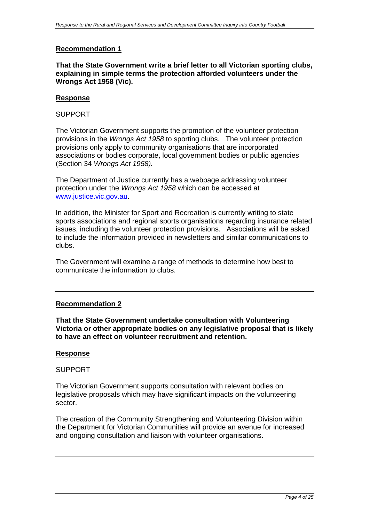**That the State Government write a brief letter to all Victorian sporting clubs, explaining in simple terms the protection afforded volunteers under the Wrongs Act 1958 (Vic).** 

## **Response**

#### SUPPORT

The Victorian Government supports the promotion of the volunteer protection provisions in the *Wrongs Act 1958* to sporting clubs. The volunteer protection provisions only apply to community organisations that are incorporated associations or bodies corporate, local government bodies or public agencies (Section 34 *Wrongs Act 1958).* 

The Department of Justice currently has a webpage addressing volunteer protection under the *Wrongs Act 1958* which can be accessed at www.justice.vic.gov.au.

In addition, the Minister for Sport and Recreation is currently writing to state sports associations and regional sports organisations regarding insurance related issues, including the volunteer protection provisions. Associations will be asked to include the information provided in newsletters and similar communications to clubs.

The Government will examine a range of methods to determine how best to communicate the information to clubs.

## **Recommendation 2**

**That the State Government undertake consultation with Volunteering Victoria or other appropriate bodies on any legislative proposal that is likely to have an effect on volunteer recruitment and retention.** 

#### **Response**

#### SUPPORT

The Victorian Government supports consultation with relevant bodies on legislative proposals which may have significant impacts on the volunteering sector.

The creation of the Community Strengthening and Volunteering Division within the Department for Victorian Communities will provide an avenue for increased and ongoing consultation and liaison with volunteer organisations.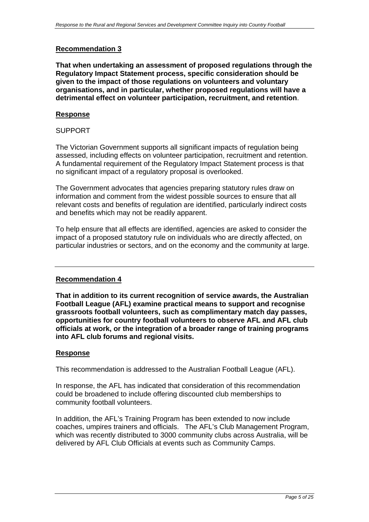**That when undertaking an assessment of proposed regulations through the Regulatory Impact Statement process, specific consideration should be given to the impact of those regulations on volunteers and voluntary organisations, and in particular, whether proposed regulations will have a detrimental effect on volunteer participation, recruitment, and retention**.

# **Response**

## SUPPORT

The Victorian Government supports all significant impacts of regulation being assessed, including effects on volunteer participation, recruitment and retention. A fundamental requirement of the Regulatory Impact Statement process is that no significant impact of a regulatory proposal is overlooked.

The Government advocates that agencies preparing statutory rules draw on information and comment from the widest possible sources to ensure that all relevant costs and benefits of regulation are identified, particularly indirect costs and benefits which may not be readily apparent.

To help ensure that all effects are identified, agencies are asked to consider the impact of a proposed statutory rule on individuals who are directly affected, on particular industries or sectors, and on the economy and the community at large.

## **Recommendation 4**

**That in addition to its current recognition of service awards, the Australian Football League (AFL) examine practical means to support and recognise grassroots football volunteers, such as complimentary match day passes, opportunities for country football volunteers to observe AFL and AFL club officials at work, or the integration of a broader range of training programs into AFL club forums and regional visits.** 

## **Response**

This recommendation is addressed to the Australian Football League (AFL).

In response, the AFL has indicated that consideration of this recommendation could be broadened to include offering discounted club memberships to community football volunteers.

In addition, the AFL's Training Program has been extended to now include coaches, umpires trainers and officials. The AFL's Club Management Program, which was recently distributed to 3000 community clubs across Australia, will be delivered by AFL Club Officials at events such as Community Camps.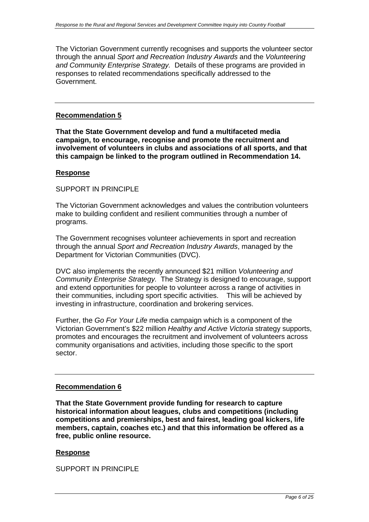The Victorian Government currently recognises and supports the volunteer sector through the annual *Sport and Recreation Industry Awards* and the *Volunteering and Community Enterprise Strategy.* Details of these programs are provided in responses to related recommendations specifically addressed to the Government.

## **Recommendation 5**

**That the State Government develop and fund a multifaceted media campaign, to encourage, recognise and promote the recruitment and involvement of volunteers in clubs and associations of all sports, and that this campaign be linked to the program outlined in Recommendation 14.** 

#### **Response**

SUPPORT IN PRINCIPLE

The Victorian Government acknowledges and values the contribution volunteers make to building confident and resilient communities through a number of programs.

The Government recognises volunteer achievements in sport and recreation through the annual *Sport and Recreation Industry Awards*, managed by the Department for Victorian Communities (DVC).

DVC also implements the recently announced \$21 million *Volunteering and Community Enterprise Strategy.* The Strategy is designed to encourage, support and extend opportunities for people to volunteer across a range of activities in their communities, including sport specific activities. This will be achieved by investing in infrastructure, coordination and brokering services.

Further, the *Go For Your Life* media campaign which is a component of the Victorian Government's \$22 million *Healthy and Active Victoria* strategy supports, promotes and encourages the recruitment and involvement of volunteers across community organisations and activities, including those specific to the sport sector.

#### **Recommendation 6**

**That the State Government provide funding for research to capture historical information about leagues, clubs and competitions (including competitions and premierships, best and fairest, leading goal kickers, life members, captain, coaches etc.) and that this information be offered as a free, public online resource.** 

#### **Response**

SUPPORT IN PRINCIPLE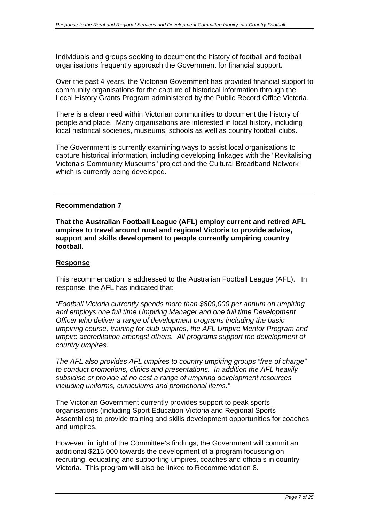Individuals and groups seeking to document the history of football and football organisations frequently approach the Government for financial support.

Over the past 4 years, the Victorian Government has provided financial support to community organisations for the capture of historical information through the Local History Grants Program administered by the Public Record Office Victoria.

There is a clear need within Victorian communities to document the history of people and place. Many organisations are interested in local history, including local historical societies, museums, schools as well as country football clubs.

The Government is currently examining ways to assist local organisations to capture historical information, including developing linkages with the "Revitalising Victoria's Community Museums" project and the Cultural Broadband Network which is currently being developed.

# **Recommendation 7**

**That the Australian Football League (AFL) employ current and retired AFL umpires to travel around rural and regional Victoria to provide advice, support and skills development to people currently umpiring country football.** 

## **Response**

This recommendation is addressed to the Australian Football League (AFL). In response, the AFL has indicated that:

*"Football Victoria currently spends more than \$800,000 per annum on umpiring and employs one full time Umpiring Manager and one full time Development Officer who deliver a range of development programs including the basic umpiring course, training for club umpires, the AFL Umpire Mentor Program and umpire accreditation amongst others. All programs support the development of country umpires.* 

*The AFL also provides AFL umpires to country umpiring groups "free of charge" to conduct promotions, clinics and presentations. In addition the AFL heavily subsidise or provide at no cost a range of umpiring development resources including uniforms, curriculums and promotional items."* 

The Victorian Government currently provides support to peak sports organisations (including Sport Education Victoria and Regional Sports Assemblies) to provide training and skills development opportunities for coaches and umpires.

However, in light of the Committee's findings, the Government will commit an additional \$215,000 towards the development of a program focussing on recruiting, educating and supporting umpires, coaches and officials in country Victoria. This program will also be linked to Recommendation 8.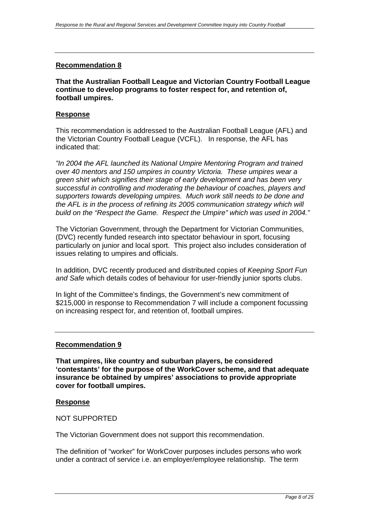**That the Australian Football League and Victorian Country Football League continue to develop programs to foster respect for, and retention of, football umpires.** 

#### **Response**

This recommendation is addressed to the Australian Football League (AFL) and the Victorian Country Football League (VCFL). In response, the AFL has indicated that:

*"In 2004 the AFL launched its National Umpire Mentoring Program and trained over 40 mentors and 150 umpires in country Victoria. These umpires wear a green shirt which signifies their stage of early development and has been very successful in controlling and moderating the behaviour of coaches, players and supporters towards developing umpires. Much work still needs to be done and the AFL is in the process of refining its 2005 communication strategy which will build on the "Respect the Game. Respect the Umpire" which was used in 2004."* 

The Victorian Government, through the Department for Victorian Communities, (DVC) recently funded research into spectator behaviour in sport, focusing particularly on junior and local sport. This project also includes consideration of issues relating to umpires and officials.

In addition, DVC recently produced and distributed copies of *Keeping Sport Fun and Safe* which details codes of behaviour for user-friendly junior sports clubs.

In light of the Committee's findings, the Government's new commitment of \$215,000 in response to Recommendation 7 will include a component focussing on increasing respect for, and retention of, football umpires.

#### **Recommendation 9**

**That umpires, like country and suburban players, be considered 'contestants' for the purpose of the WorkCover scheme, and that adequate insurance be obtained by umpires' associations to provide appropriate cover for football umpires.** 

#### **Response**

NOT SUPPORTED

The Victorian Government does not support this recommendation.

The definition of "worker" for WorkCover purposes includes persons who work under a contract of service i.e. an employer/employee relationship. The term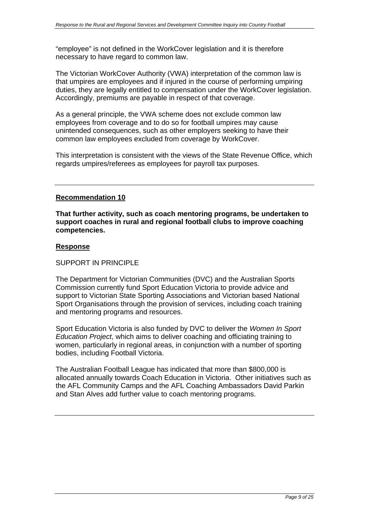"employee" is not defined in the WorkCover legislation and it is therefore necessary to have regard to common law.

The Victorian WorkCover Authority (VWA) interpretation of the common law is that umpires are employees and if injured in the course of performing umpiring duties, they are legally entitled to compensation under the WorkCover legislation. Accordingly, premiums are payable in respect of that coverage.

As a general principle, the VWA scheme does not exclude common law employees from coverage and to do so for football umpires may cause unintended consequences, such as other employers seeking to have their common law employees excluded from coverage by WorkCover.

This interpretation is consistent with the views of the State Revenue Office, which regards umpires/referees as employees for payroll tax purposes.

## **Recommendation 10**

**That further activity, such as coach mentoring programs, be undertaken to support coaches in rural and regional football clubs to improve coaching competencies.** 

#### **Response**

SUPPORT IN PRINCIPLE

The Department for Victorian Communities (DVC) and the Australian Sports Commission currently fund Sport Education Victoria to provide advice and support to Victorian State Sporting Associations and Victorian based National Sport Organisations through the provision of services, including coach training and mentoring programs and resources.

Sport Education Victoria is also funded by DVC to deliver the *Women In Sport Education Project*, which aims to deliver coaching and officiating training to women, particularly in regional areas, in conjunction with a number of sporting bodies, including Football Victoria.

The Australian Football League has indicated that more than \$800,000 is allocated annually towards Coach Education in Victoria. Other initiatives such as the AFL Community Camps and the AFL Coaching Ambassadors David Parkin and Stan Alves add further value to coach mentoring programs.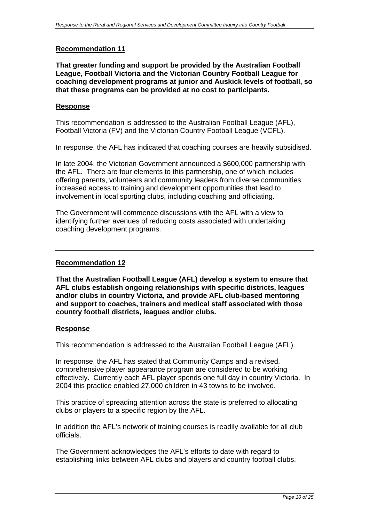**That greater funding and support be provided by the Australian Football League, Football Victoria and the Victorian Country Football League for coaching development programs at junior and Auskick levels of football, so that these programs can be provided at no cost to participants.** 

# **Response**

This recommendation is addressed to the Australian Football League (AFL), Football Victoria (FV) and the Victorian Country Football League (VCFL).

In response, the AFL has indicated that coaching courses are heavily subsidised.

In late 2004, the Victorian Government announced a \$600,000 partnership with the AFL. There are four elements to this partnership, one of which includes offering parents, volunteers and community leaders from diverse communities increased access to training and development opportunities that lead to involvement in local sporting clubs, including coaching and officiating.

The Government will commence discussions with the AFL with a view to identifying further avenues of reducing costs associated with undertaking coaching development programs.

# **Recommendation 12**

**That the Australian Football League (AFL) develop a system to ensure that AFL clubs establish ongoing relationships with specific districts, leagues and/or clubs in country Victoria, and provide AFL club-based mentoring and support to coaches, trainers and medical staff associated with those country football districts, leagues and/or clubs.** 

## **Response**

This recommendation is addressed to the Australian Football League (AFL).

In response, the AFL has stated that Community Camps and a revised, comprehensive player appearance program are considered to be working effectively. Currently each AFL player spends one full day in country Victoria. In 2004 this practice enabled 27,000 children in 43 towns to be involved.

This practice of spreading attention across the state is preferred to allocating clubs or players to a specific region by the AFL.

In addition the AFL's network of training courses is readily available for all club officials.

The Government acknowledges the AFL's efforts to date with regard to establishing links between AFL clubs and players and country football clubs.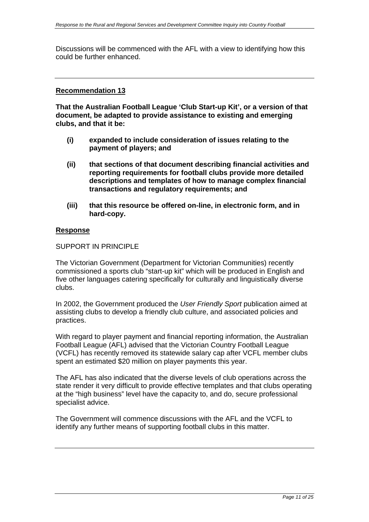Discussions will be commenced with the AFL with a view to identifying how this could be further enhanced.

#### **Recommendation 13**

**That the Australian Football League 'Club Start-up Kit', or a version of that document, be adapted to provide assistance to existing and emerging clubs, and that it be:** 

- **(i) expanded to include consideration of issues relating to the payment of players; and**
- **(ii) that sections of that document describing financial activities and reporting requirements for football clubs provide more detailed descriptions and templates of how to manage complex financial transactions and regulatory requirements; and**
- **(iii) that this resource be offered on-line, in electronic form, and in hard-copy.**

#### **Response**

#### SUPPORT IN PRINCIPLE

The Victorian Government (Department for Victorian Communities) recently commissioned a sports club "start-up kit" which will be produced in English and five other languages catering specifically for culturally and linguistically diverse clubs.

In 2002, the Government produced the *User Friendly Sport* publication aimed at assisting clubs to develop a friendly club culture, and associated policies and practices.

With regard to player payment and financial reporting information, the Australian Football League (AFL) advised that the Victorian Country Football League (VCFL) has recently removed its statewide salary cap after VCFL member clubs spent an estimated \$20 million on player payments this year.

The AFL has also indicated that the diverse levels of club operations across the state render it very difficult to provide effective templates and that clubs operating at the "high business" level have the capacity to, and do, secure professional specialist advice.

The Government will commence discussions with the AFL and the VCFL to identify any further means of supporting football clubs in this matter.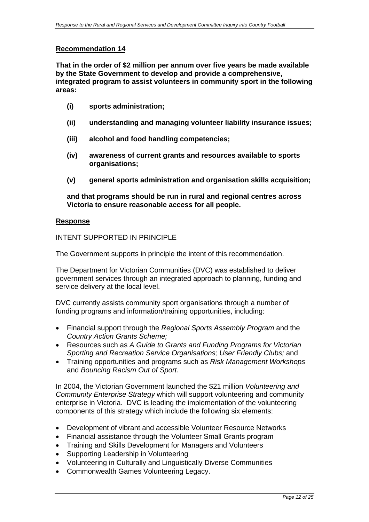**That in the order of \$2 million per annum over five years be made available by the State Government to develop and provide a comprehensive, integrated program to assist volunteers in community sport in the following areas:** 

- **(i) sports administration;**
- **(ii) understanding and managing volunteer liability insurance issues;**
- **(iii) alcohol and food handling competencies;**
- **(iv) awareness of current grants and resources available to sports organisations;**
- **(v) general sports administration and organisation skills acquisition;**

**and that programs should be run in rural and regional centres across Victoria to ensure reasonable access for all people.** 

## **Response**

INTENT SUPPORTED IN PRINCIPLE

The Government supports in principle the intent of this recommendation.

The Department for Victorian Communities (DVC) was established to deliver government services through an integrated approach to planning, funding and service delivery at the local level.

DVC currently assists community sport organisations through a number of funding programs and information/training opportunities, including:

- Financial support through the *Regional Sports Assembly Program* and the *Country Action Grants Scheme;*
- Resources such as *A Guide to Grants and Funding Programs for Victorian Sporting and Recreation Service Organisations; User Friendly Clubs;* and
- Training opportunities and programs such as *Risk Management Workshops*  and *Bouncing Racism Out of Sport.*

In 2004, the Victorian Government launched the \$21 million *Volunteering and Community Enterprise Strategy* which will support volunteering and community enterprise in Victoria. DVC is leading the implementation of the volunteering components of this strategy which include the following six elements:

- Development of vibrant and accessible Volunteer Resource Networks
- Financial assistance through the Volunteer Small Grants program
- Training and Skills Development for Managers and Volunteers
- Supporting Leadership in Volunteering
- Volunteering in Culturally and Linguistically Diverse Communities
- Commonwealth Games Volunteering Legacy.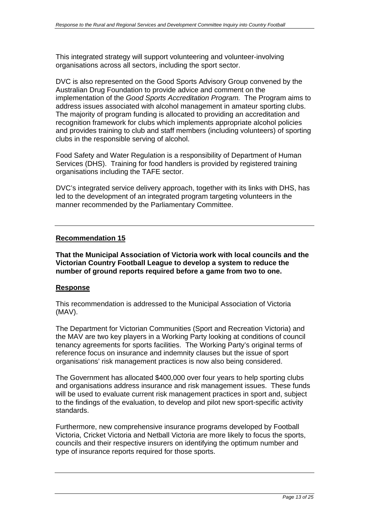This integrated strategy will support volunteering and volunteer-involving organisations across all sectors, including the sport sector.

DVC is also represented on the Good Sports Advisory Group convened by the Australian Drug Foundation to provide advice and comment on the implementation of the *Good Sports Accreditation Program.* The Program aims to address issues associated with alcohol management in amateur sporting clubs. The majority of program funding is allocated to providing an accreditation and recognition framework for clubs which implements appropriate alcohol policies and provides training to club and staff members (including volunteers) of sporting clubs in the responsible serving of alcohol.

Food Safety and Water Regulation is a responsibility of Department of Human Services (DHS). Training for food handlers is provided by registered training organisations including the TAFE sector.

DVC's integrated service delivery approach, together with its links with DHS, has led to the development of an integrated program targeting volunteers in the manner recommended by the Parliamentary Committee.

# **Recommendation 15**

**That the Municipal Association of Victoria work with local councils and the Victorian Country Football League to develop a system to reduce the number of ground reports required before a game from two to one.** 

## **Response**

This recommendation is addressed to the Municipal Association of Victoria (MAV).

The Department for Victorian Communities (Sport and Recreation Victoria) and the MAV are two key players in a Working Party looking at conditions of council tenancy agreements for sports facilities. The Working Party's original terms of reference focus on insurance and indemnity clauses but the issue of sport organisations' risk management practices is now also being considered.

The Government has allocated \$400,000 over four years to help sporting clubs and organisations address insurance and risk management issues. These funds will be used to evaluate current risk management practices in sport and, subject to the findings of the evaluation, to develop and pilot new sport-specific activity standards.

Furthermore, new comprehensive insurance programs developed by Football Victoria, Cricket Victoria and Netball Victoria are more likely to focus the sports, councils and their respective insurers on identifying the optimum number and type of insurance reports required for those sports.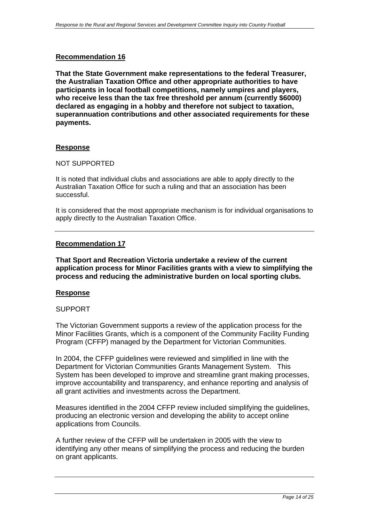**That the State Government make representations to the federal Treasurer, the Australian Taxation Office and other appropriate authorities to have participants in local football competitions, namely umpires and players, who receive less than the tax free threshold per annum (currently \$6000) declared as engaging in a hobby and therefore not subject to taxation, superannuation contributions and other associated requirements for these payments.** 

## **Response**

#### NOT SUPPORTED

It is noted that individual clubs and associations are able to apply directly to the Australian Taxation Office for such a ruling and that an association has been successful.

It is considered that the most appropriate mechanism is for individual organisations to apply directly to the Australian Taxation Office.

## **Recommendation 17**

**That Sport and Recreation Victoria undertake a review of the current application process for Minor Facilities grants with a view to simplifying the process and reducing the administrative burden on local sporting clubs.** 

#### **Response**

## SUPPORT

The Victorian Government supports a review of the application process for the Minor Facilities Grants, which is a component of the Community Facility Funding Program (CFFP) managed by the Department for Victorian Communities.

In 2004, the CFFP guidelines were reviewed and simplified in line with the Department for Victorian Communities Grants Management System. This System has been developed to improve and streamline grant making processes, improve accountability and transparency, and enhance reporting and analysis of all grant activities and investments across the Department.

Measures identified in the 2004 CFFP review included simplifying the guidelines, producing an electronic version and developing the ability to accept online applications from Councils.

A further review of the CFFP will be undertaken in 2005 with the view to identifying any other means of simplifying the process and reducing the burden on grant applicants.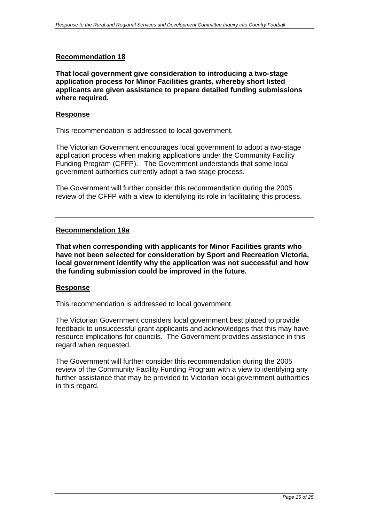**That local government give consideration to introducing a two-stage application process for Minor Facilities grants, whereby short listed applicants are given assistance to prepare detailed funding submissions where required.** 

# **Response**

This recommendation is addressed to local government.

The Victorian Government encourages local government to adopt a two-stage application process when making applications under the Community Facility Funding Program (CFFP). The Government understands that some local government authorities currently adopt a two stage process.

The Government will further consider this recommendation during the 2005 review of the CFFP with a view to identifying its role in facilitating this process.

## **Recommendation 19a**

**That when corresponding with applicants for Minor Facilities grants who have not been selected for consideration by Sport and Recreation Victoria, local government identify why the application was not successful and how the funding submission could be improved in the future.** 

## **Response**

This recommendation is addressed to local government.

The Victorian Government considers local government best placed to provide feedback to unsuccessful grant applicants and acknowledges that this may have resource implications for councils. The Government provides assistance in this regard when requested.

The Government will further consider this recommendation during the 2005 review of the Community Facility Funding Program with a view to identifying any further assistance that may be provided to Victorian local government authorities in this regard.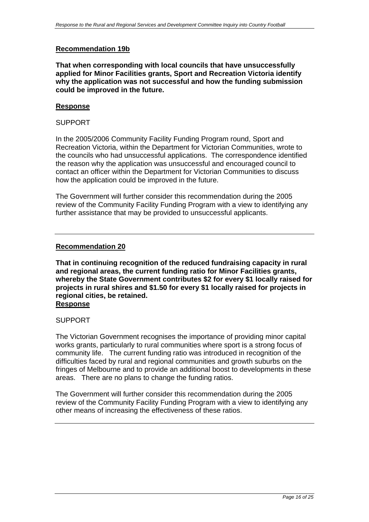# **Recommendation 19b**

**That when corresponding with local councils that have unsuccessfully applied for Minor Facilities grants, Sport and Recreation Victoria identify why the application was not successful and how the funding submission could be improved in the future.** 

# **Response**

## SUPPORT

In the 2005/2006 Community Facility Funding Program round, Sport and Recreation Victoria, within the Department for Victorian Communities, wrote to the councils who had unsuccessful applications. The correspondence identified the reason why the application was unsuccessful and encouraged council to contact an officer within the Department for Victorian Communities to discuss how the application could be improved in the future.

The Government will further consider this recommendation during the 2005 review of the Community Facility Funding Program with a view to identifying any further assistance that may be provided to unsuccessful applicants.

# **Recommendation 20**

**That in continuing recognition of the reduced fundraising capacity in rural and regional areas, the current funding ratio for Minor Facilities grants, whereby the State Government contributes \$2 for every \$1 locally raised for projects in rural shires and \$1.50 for every \$1 locally raised for projects in regional cities, be retained. Response**

## SUPPORT

The Victorian Government recognises the importance of providing minor capital works grants, particularly to rural communities where sport is a strong focus of community life. The current funding ratio was introduced in recognition of the difficulties faced by rural and regional communities and growth suburbs on the fringes of Melbourne and to provide an additional boost to developments in these areas. There are no plans to change the funding ratios.

The Government will further consider this recommendation during the 2005 review of the Community Facility Funding Program with a view to identifying any other means of increasing the effectiveness of these ratios.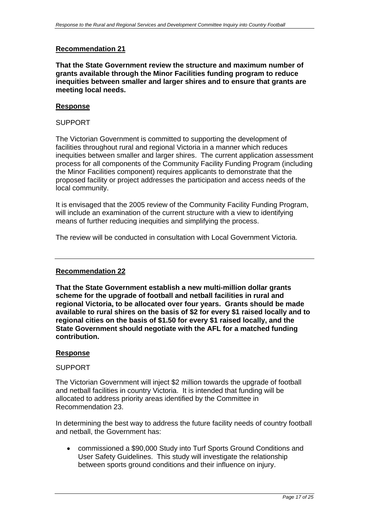**That the State Government review the structure and maximum number of grants available through the Minor Facilities funding program to reduce inequities between smaller and larger shires and to ensure that grants are meeting local needs.** 

# **Response**

#### SUPPORT

The Victorian Government is committed to supporting the development of facilities throughout rural and regional Victoria in a manner which reduces inequities between smaller and larger shires. The current application assessment process for all components of the Community Facility Funding Program (including the Minor Facilities component) requires applicants to demonstrate that the proposed facility or project addresses the participation and access needs of the local community.

It is envisaged that the 2005 review of the Community Facility Funding Program, will include an examination of the current structure with a view to identifying means of further reducing inequities and simplifying the process.

The review will be conducted in consultation with Local Government Victoria.

## **Recommendation 22**

**That the State Government establish a new multi-million dollar grants scheme for the upgrade of football and netball facilities in rural and regional Victoria, to be allocated over four years. Grants should be made available to rural shires on the basis of \$2 for every \$1 raised locally and to regional cities on the basis of \$1.50 for every \$1 raised locally, and the State Government should negotiate with the AFL for a matched funding contribution.** 

#### **Response**

#### **SUPPORT**

The Victorian Government will inject \$2 million towards the upgrade of football and netball facilities in country Victoria. It is intended that funding will be allocated to address priority areas identified by the Committee in Recommendation 23.

In determining the best way to address the future facility needs of country football and netball, the Government has:

• commissioned a \$90,000 Study into Turf Sports Ground Conditions and User Safety Guidelines. This study will investigate the relationship between sports ground conditions and their influence on injury.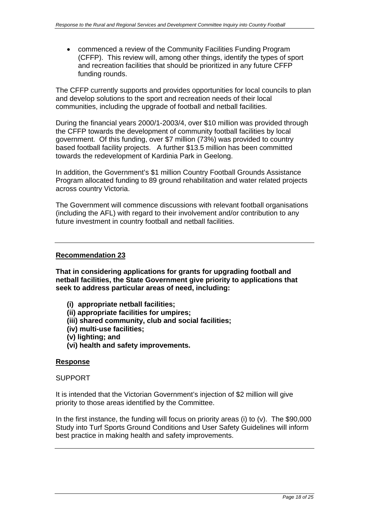• commenced a review of the Community Facilities Funding Program (CFFP). This review will, among other things, identify the types of sport and recreation facilities that should be prioritized in any future CFFP funding rounds.

The CFFP currently supports and provides opportunities for local councils to plan and develop solutions to the sport and recreation needs of their local communities, including the upgrade of football and netball facilities.

During the financial years 2000/1-2003/4, over \$10 million was provided through the CFFP towards the development of community football facilities by local government. Of this funding, over \$7 million (73%) was provided to country based football facility projects. A further \$13.5 million has been committed towards the redevelopment of Kardinia Park in Geelong.

In addition, the Government's \$1 million Country Football Grounds Assistance Program allocated funding to 89 ground rehabilitation and water related projects across country Victoria.

The Government will commence discussions with relevant football organisations (including the AFL) with regard to their involvement and/or contribution to any future investment in country football and netball facilities.

# **Recommendation 23**

**That in considering applications for grants for upgrading football and netball facilities, the State Government give priority to applications that seek to address particular areas of need, including:** 

- **(i) appropriate netball facilities;**
- **(ii) appropriate facilities for umpires;**
- **(iii) shared community, club and social facilities;**
- **(iv) multi-use facilities;**
- **(v) lighting; and**
- **(vi) health and safety improvements.**

## **Response**

#### **SUPPORT**

It is intended that the Victorian Government's injection of \$2 million will give priority to those areas identified by the Committee.

In the first instance, the funding will focus on priority areas (i) to  $(v)$ . The \$90,000 Study into Turf Sports Ground Conditions and User Safety Guidelines will inform best practice in making health and safety improvements.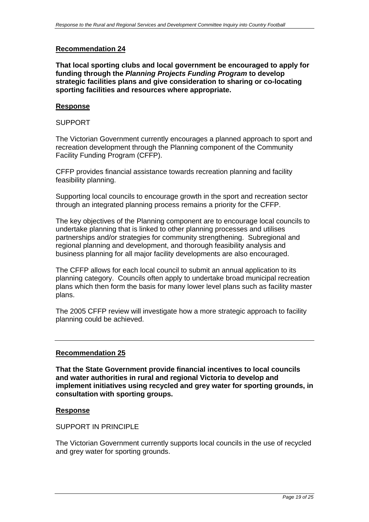**That local sporting clubs and local government be encouraged to apply for funding through the** *Planning Projects Funding Program* **to develop strategic facilities plans and give consideration to sharing or co-locating sporting facilities and resources where appropriate.** 

# **Response**

#### SUPPORT

The Victorian Government currently encourages a planned approach to sport and recreation development through the Planning component of the Community Facility Funding Program (CFFP).

CFFP provides financial assistance towards recreation planning and facility feasibility planning.

Supporting local councils to encourage growth in the sport and recreation sector through an integrated planning process remains a priority for the CFFP.

The key objectives of the Planning component are to encourage local councils to undertake planning that is linked to other planning processes and utilises partnerships and/or strategies for community strengthening. Subregional and regional planning and development, and thorough feasibility analysis and business planning for all major facility developments are also encouraged.

The CFFP allows for each local council to submit an annual application to its planning category. Councils often apply to undertake broad municipal recreation plans which then form the basis for many lower level plans such as facility master plans.

The 2005 CFFP review will investigate how a more strategic approach to facility planning could be achieved.

## **Recommendation 25**

**That the State Government provide financial incentives to local councils and water authorities in rural and regional Victoria to develop and implement initiatives using recycled and grey water for sporting grounds, in consultation with sporting groups.** 

## **Response**

SUPPORT IN PRINCIPLE

The Victorian Government currently supports local councils in the use of recycled and grey water for sporting grounds.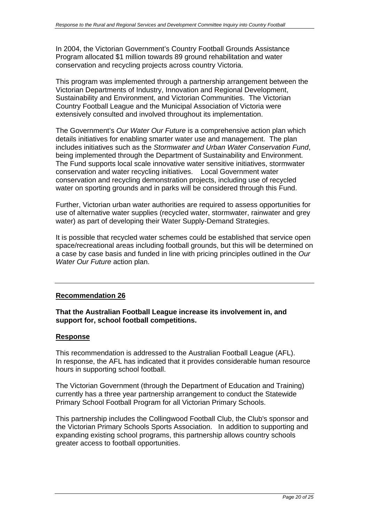In 2004, the Victorian Government's Country Football Grounds Assistance Program allocated \$1 million towards 89 ground rehabilitation and water conservation and recycling projects across country Victoria.

This program was implemented through a partnership arrangement between the Victorian Departments of Industry, Innovation and Regional Development, Sustainability and Environment, and Victorian Communities. The Victorian Country Football League and the Municipal Association of Victoria were extensively consulted and involved throughout its implementation.

The Government's *Our Water Our Future* is a comprehensive action plan which details initiatives for enabling smarter water use and management. The plan includes initiatives such as the *Stormwater and Urban Water Conservation Fund*, being implemented through the Department of Sustainability and Environment. The Fund supports local scale innovative water sensitive initiatives, stormwater conservation and water recycling initiatives. Local Government water conservation and recycling demonstration projects, including use of recycled water on sporting grounds and in parks will be considered through this Fund.

Further, Victorian urban water authorities are required to assess opportunities for use of alternative water supplies (recycled water, stormwater, rainwater and grey water) as part of developing their Water Supply-Demand Strategies.

It is possible that recycled water schemes could be established that service open space/recreational areas including football grounds, but this will be determined on a case by case basis and funded in line with pricing principles outlined in the *Our Water Our Future* action plan.

## **Recommendation 26**

# **That the Australian Football League increase its involvement in, and support for, school football competitions.**

## **Response**

This recommendation is addressed to the Australian Football League (AFL). In response, the AFL has indicated that it provides considerable human resource hours in supporting school football.

The Victorian Government (through the Department of Education and Training) currently has a three year partnership arrangement to conduct the Statewide Primary School Football Program for all Victorian Primary Schools.

This partnership includes the Collingwood Football Club, the Club's sponsor and the Victorian Primary Schools Sports Association. In addition to supporting and expanding existing school programs, this partnership allows country schools greater access to football opportunities.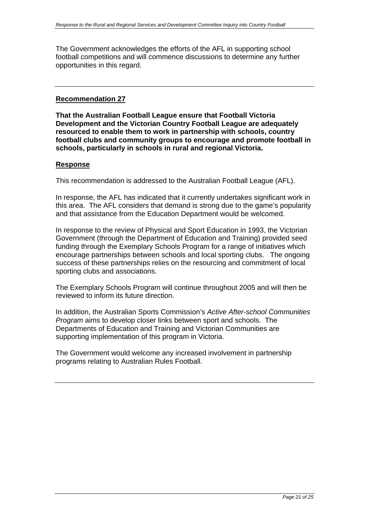The Government acknowledges the efforts of the AFL in supporting school football competitions and will commence discussions to determine any further opportunities in this regard.

## **Recommendation 27**

**That the Australian Football League ensure that Football Victoria Development and the Victorian Country Football League are adequately resourced to enable them to work in partnership with schools, country football clubs and community groups to encourage and promote football in schools, particularly in schools in rural and regional Victoria.** 

#### **Response**

This recommendation is addressed to the Australian Football League (AFL).

In response, the AFL has indicated that it currently undertakes significant work in this area. The AFL considers that demand is strong due to the game's popularity and that assistance from the Education Department would be welcomed.

In response to the review of Physical and Sport Education in 1993, the Victorian Government (through the Department of Education and Training) provided seed funding through the Exemplary Schools Program for a range of initiatives which encourage partnerships between schools and local sporting clubs. The ongoing success of these partnerships relies on the resourcing and commitment of local sporting clubs and associations.

The Exemplary Schools Program will continue throughout 2005 and will then be reviewed to inform its future direction.

In addition, the Australian Sports Commission's *Active After-school Communities Program* aims to develop closer links between sport and schools. The Departments of Education and Training and Victorian Communities are supporting implementation of this program in Victoria.

The Government would welcome any increased involvement in partnership programs relating to Australian Rules Football.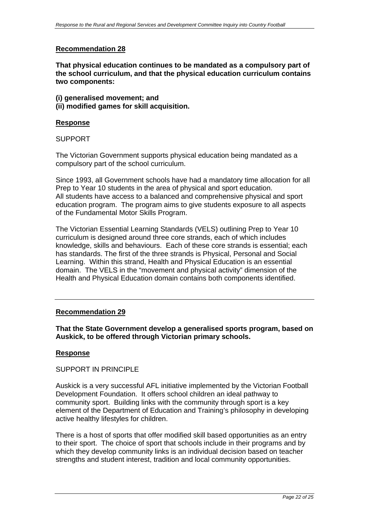**That physical education continues to be mandated as a compulsory part of the school curriculum, and that the physical education curriculum contains two components:** 

**(i) generalised movement; and** 

**(ii) modified games for skill acquisition.** 

#### **Response**

#### SUPPORT

The Victorian Government supports physical education being mandated as a compulsory part of the school curriculum.

Since 1993, all Government schools have had a mandatory time allocation for all Prep to Year 10 students in the area of physical and sport education. All students have access to a balanced and comprehensive physical and sport education program. The program aims to give students exposure to all aspects of the Fundamental Motor Skills Program.

The Victorian Essential Learning Standards (VELS) outlining Prep to Year 10 curriculum is designed around three core strands, each of which includes knowledge, skills and behaviours. Each of these core strands is essential; each has standards. The first of the three strands is Physical, Personal and Social Learning. Within this strand, Health and Physical Education is an essential domain. The VELS in the "movement and physical activity" dimension of the Health and Physical Education domain contains both components identified.

## **Recommendation 29**

**That the State Government develop a generalised sports program, based on Auskick, to be offered through Victorian primary schools.** 

#### **Response**

#### SUPPORT IN PRINCIPLE

Auskick is a very successful AFL initiative implemented by the Victorian Football Development Foundation. It offers school children an ideal pathway to community sport. Building links with the community through sport is a key element of the Department of Education and Training's philosophy in developing active healthy lifestyles for children.

There is a host of sports that offer modified skill based opportunities as an entry to their sport. The choice of sport that schools include in their programs and by which they develop community links is an individual decision based on teacher strengths and student interest, tradition and local community opportunities.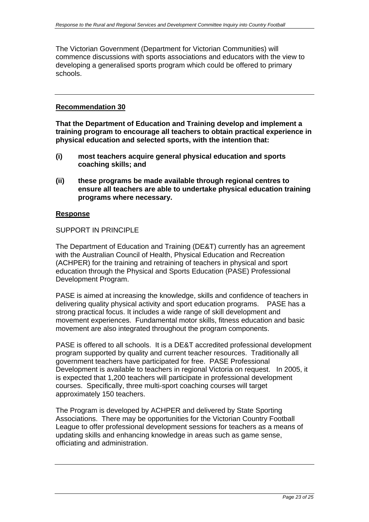The Victorian Government (Department for Victorian Communities) will commence discussions with sports associations and educators with the view to developing a generalised sports program which could be offered to primary schools.

#### **Recommendation 30**

**That the Department of Education and Training develop and implement a training program to encourage all teachers to obtain practical experience in physical education and selected sports, with the intention that:** 

- **(i) most teachers acquire general physical education and sports coaching skills; and**
- **(ii) these programs be made available through regional centres to ensure all teachers are able to undertake physical education training programs where necessary.**

#### **Response**

#### SUPPORT IN PRINCIPLE

The Department of Education and Training (DE&T) currently has an agreement with the Australian Council of Health, Physical Education and Recreation (ACHPER) for the training and retraining of teachers in physical and sport education through the Physical and Sports Education (PASE) Professional Development Program.

PASE is aimed at increasing the knowledge, skills and confidence of teachers in delivering quality physical activity and sport education programs. PASE has a strong practical focus. It includes a wide range of skill development and movement experiences. Fundamental motor skills, fitness education and basic movement are also integrated throughout the program components.

PASE is offered to all schools. It is a DE&T accredited professional development program supported by quality and current teacher resources. Traditionally all government teachers have participated for free. PASE Professional Development is available to teachers in regional Victoria on request. In 2005, it is expected that 1,200 teachers will participate in professional development courses. Specifically, three multi-sport coaching courses will target approximately 150 teachers.

The Program is developed by ACHPER and delivered by State Sporting Associations. There may be opportunities for the Victorian Country Football League to offer professional development sessions for teachers as a means of updating skills and enhancing knowledge in areas such as game sense, officiating and administration.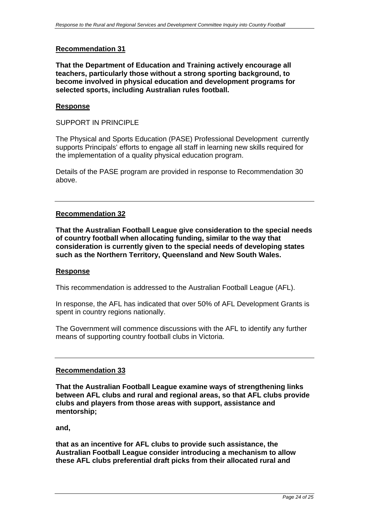**That the Department of Education and Training actively encourage all teachers, particularly those without a strong sporting background, to become involved in physical education and development programs for selected sports, including Australian rules football.** 

## **Response**

SUPPORT IN PRINCIPLE

The Physical and Sports Education (PASE) Professional Development currently supports Principals' efforts to engage all staff in learning new skills required for the implementation of a quality physical education program.

Details of the PASE program are provided in response to Recommendation 30 above.

## **Recommendation 32**

**That the Australian Football League give consideration to the special needs of country football when allocating funding, similar to the way that consideration is currently given to the special needs of developing states such as the Northern Territory, Queensland and New South Wales.** 

#### **Response**

This recommendation is addressed to the Australian Football League (AFL).

In response, the AFL has indicated that over 50% of AFL Development Grants is spent in country regions nationally.

The Government will commence discussions with the AFL to identify any further means of supporting country football clubs in Victoria.

#### **Recommendation 33**

**That the Australian Football League examine ways of strengthening links between AFL clubs and rural and regional areas, so that AFL clubs provide clubs and players from those areas with support, assistance and mentorship;** 

**and,** 

**that as an incentive for AFL clubs to provide such assistance, the Australian Football League consider introducing a mechanism to allow these AFL clubs preferential draft picks from their allocated rural and**